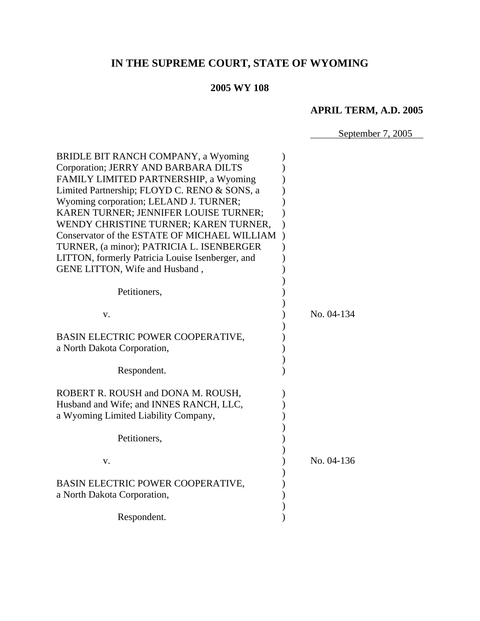# **IN THE SUPREME COURT, STATE OF WYOMING**

# **2005 WY 108**

# **APRIL TERM, A.D. 2005**

September 7, 2005

| BRIDLE BIT RANCH COMPANY, a Wyoming              |            |
|--------------------------------------------------|------------|
| Corporation; JERRY AND BARBARA DILTS             |            |
| FAMILY LIMITED PARTNERSHIP, a Wyoming            |            |
| Limited Partnership; FLOYD C. RENO & SONS, a     |            |
| Wyoming corporation; LELAND J. TURNER;           |            |
| KAREN TURNER; JENNIFER LOUISE TURNER;            |            |
| WENDY CHRISTINE TURNER; KAREN TURNER,            |            |
| Conservator of the ESTATE OF MICHAEL WILLIAM     |            |
| TURNER, (a minor); PATRICIA L. ISENBERGER        |            |
| LITTON, formerly Patricia Louise Isenberger, and |            |
| GENE LITTON, Wife and Husband,                   |            |
|                                                  |            |
|                                                  |            |
| Petitioners,                                     |            |
|                                                  |            |
| V.                                               | No. 04-134 |
|                                                  |            |
| BASIN ELECTRIC POWER COOPERATIVE,                |            |
| a North Dakota Corporation,                      |            |
|                                                  |            |
| Respondent.                                      |            |
|                                                  |            |
| ROBERT R. ROUSH and DONA M. ROUSH,               |            |
| Husband and Wife; and INNES RANCH, LLC,          |            |
| a Wyoming Limited Liability Company,             |            |
|                                                  |            |
| Petitioners,                                     |            |
|                                                  |            |
| V.                                               | No. 04-136 |
|                                                  |            |
| BASIN ELECTRIC POWER COOPERATIVE,                |            |
| a North Dakota Corporation,                      |            |
|                                                  |            |
|                                                  |            |
| Respondent.                                      |            |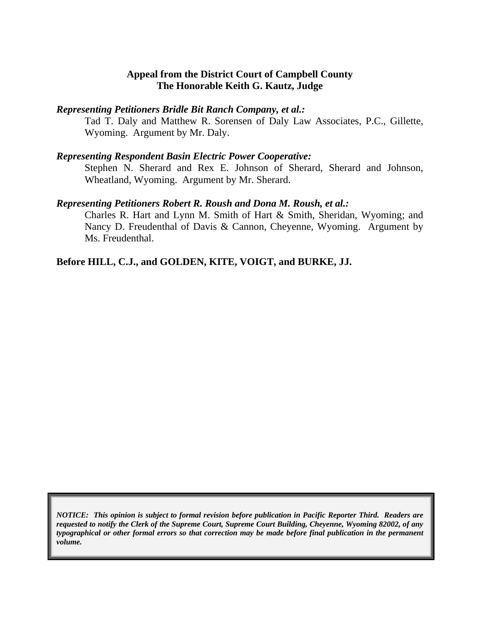### **Appeal from the District Court of Campbell County The Honorable Keith G. Kautz, Judge**

#### *Representing Petitioners Bridle Bit Ranch Company, et al.:*

Tad T. Daly and Matthew R. Sorensen of Daly Law Associates, P.C., Gillette, Wyoming. Argument by Mr. Daly.

#### *Representing Respondent Basin Electric Power Cooperative:*

Stephen N. Sherard and Rex E. Johnson of Sherard, Sherard and Johnson, Wheatland, Wyoming. Argument by Mr. Sherard.

#### *Representing Petitioners Robert R. Roush and Dona M. Roush, et al.:*

Charles R. Hart and Lynn M. Smith of Hart & Smith, Sheridan, Wyoming; and Nancy D. Freudenthal of Davis & Cannon, Cheyenne, Wyoming. Argument by Ms. Freudenthal.

## **Before HILL, C.J., and GOLDEN, KITE, VOIGT, and BURKE, JJ.**

*NOTICE: This opinion is subject to formal revision before publication in Pacific Reporter Third. Readers are requested to notify the Clerk of the Supreme Court, Supreme Court Building, Cheyenne, Wyoming 82002, of any typographical or other formal errors so that correction may be made before final publication in the permanent volume.*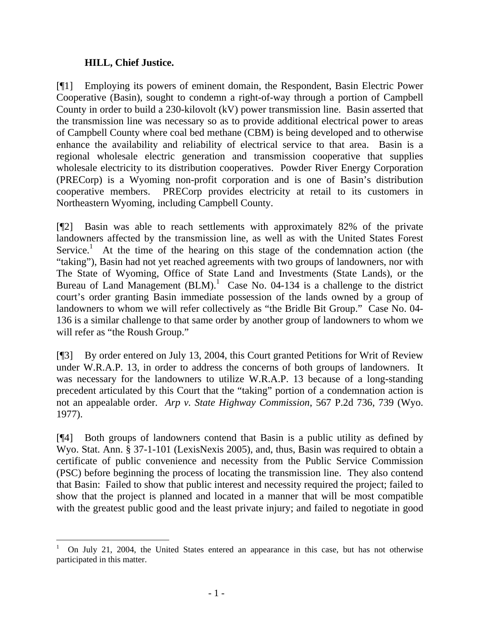### **HILL, Chief Justice.**

[¶1] Employing its powers of eminent domain, the Respondent, Basin Electric Power Cooperative (Basin), sought to condemn a right-of-way through a portion of Campbell County in order to build a 230-kilovolt (kV) power transmission line. Basin asserted that the transmission line was necessary so as to provide additional electrical power to areas of Campbell County where coal bed methane (CBM) is being developed and to otherwise enhance the availability and reliability of electrical service to that area. Basin is a regional wholesale electric generation and transmission cooperative that supplies wholesale electricity to its distribution cooperatives. Powder River Energy Corporation (PRECorp) is a Wyoming non-profit corporation and is one of Basin's distribution cooperative members. PRECorp provides electricity at retail to its customers in Northeastern Wyoming, including Campbell County.

[¶2] Basin was able to reach settlements with approximately 82% of the private landowners affected by the transmission line, as well as with the United States Forest Service.<sup>1</sup> At the time of the hearing on this stage of the condemnation action (the "taking"), Basin had not yet reached agreements with two groups of landowners, nor with The State of Wyoming, Office of State Land and Investments (State Lands), or the Bureau of Land Management  $(BLM)$ .<sup>[1](#page-3-0)</sup> Case No. 04-134 is a challenge to the district court's order granting Basin immediate possession of the lands owned by a group of landowners to whom we will refer collectively as "the Bridle Bit Group." Case No. 04- 136 is a similar challenge to that same order by another group of landowners to whom we will refer as "the Roush Group."

[¶3] By order entered on July 13, 2004, this Court granted Petitions for Writ of Review under W.R.A.P. 13, in order to address the concerns of both groups of landowners. It was necessary for the landowners to utilize W.R.A.P. 13 because of a long-standing precedent articulated by this Court that the "taking" portion of a condemnation action is not an appealable order. *Arp v. State Highway Commission*, 567 P.2d 736, 739 (Wyo. 1977).

[¶4] Both groups of landowners contend that Basin is a public utility as defined by Wyo. Stat. Ann. § 37-1-101 (LexisNexis 2005), and, thus, Basin was required to obtain a certificate of public convenience and necessity from the Public Service Commission (PSC) before beginning the process of locating the transmission line. They also contend that Basin: Failed to show that public interest and necessity required the project; failed to show that the project is planned and located in a manner that will be most compatible with the greatest public good and the least private injury; and failed to negotiate in good

<span id="page-3-0"></span> 1 On July 21, 2004, the United States entered an appearance in this case, but has not otherwise participated in this matter.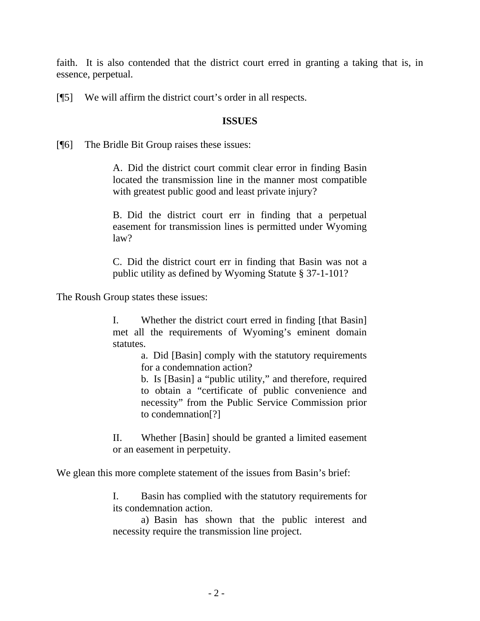faith. It is also contended that the district court erred in granting a taking that is, in essence, perpetual.

[¶5] We will affirm the district court's order in all respects.

#### **ISSUES**

[¶6] The Bridle Bit Group raises these issues:

A. Did the district court commit clear error in finding Basin located the transmission line in the manner most compatible with greatest public good and least private injury?

B. Did the district court err in finding that a perpetual easement for transmission lines is permitted under Wyoming law?

C. Did the district court err in finding that Basin was not a public utility as defined by Wyoming Statute § 37-1-101?

The Roush Group states these issues:

I. Whether the district court erred in finding [that Basin] met all the requirements of Wyoming's eminent domain statutes.

> a. Did [Basin] comply with the statutory requirements for a condemnation action?

> b. Is [Basin] a "public utility," and therefore, required to obtain a "certificate of public convenience and necessity" from the Public Service Commission prior to condemnation[?]

II. Whether [Basin] should be granted a limited easement or an easement in perpetuity.

We glean this more complete statement of the issues from Basin's brief:

I. Basin has complied with the statutory requirements for its condemnation action.

a) Basin has shown that the public interest and necessity require the transmission line project.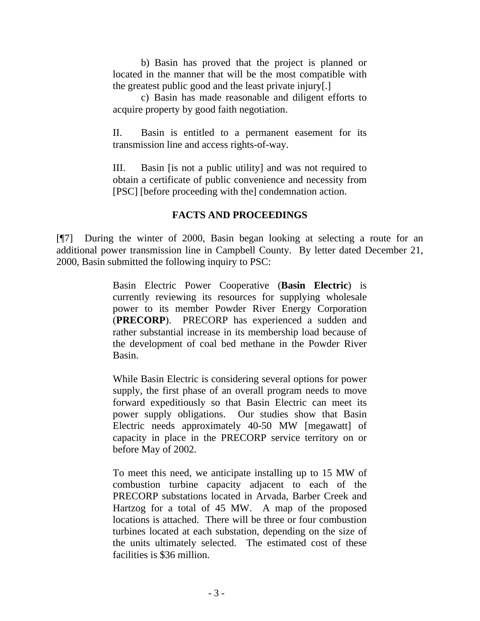b) Basin has proved that the project is planned or located in the manner that will be the most compatible with the greatest public good and the least private injury[.]

c) Basin has made reasonable and diligent efforts to acquire property by good faith negotiation.

II. Basin is entitled to a permanent easement for its transmission line and access rights-of-way.

III. Basin [is not a public utility] and was not required to obtain a certificate of public convenience and necessity from [PSC] [before proceeding with the] condemnation action.

## **FACTS AND PROCEEDINGS**

[¶7] During the winter of 2000, Basin began looking at selecting a route for an additional power transmission line in Campbell County. By letter dated December 21, 2000, Basin submitted the following inquiry to PSC:

> Basin Electric Power Cooperative (**Basin Electric**) is currently reviewing its resources for supplying wholesale power to its member Powder River Energy Corporation (**PRECORP**). PRECORP has experienced a sudden and rather substantial increase in its membership load because of the development of coal bed methane in the Powder River Basin.

> While Basin Electric is considering several options for power supply, the first phase of an overall program needs to move forward expeditiously so that Basin Electric can meet its power supply obligations. Our studies show that Basin Electric needs approximately 40-50 MW [megawatt] of capacity in place in the PRECORP service territory on or before May of 2002.

> To meet this need, we anticipate installing up to 15 MW of combustion turbine capacity adjacent to each of the PRECORP substations located in Arvada, Barber Creek and Hartzog for a total of 45 MW. A map of the proposed locations is attached. There will be three or four combustion turbines located at each substation, depending on the size of the units ultimately selected. The estimated cost of these facilities is \$36 million.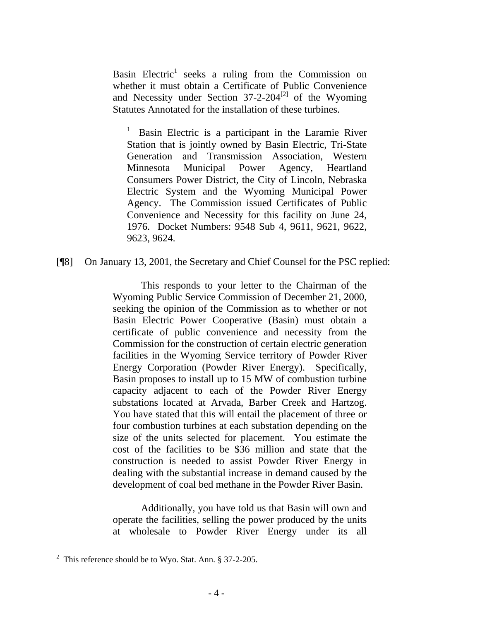Basin Electric<sup>1</sup> seeks a ruling from the Commission on whether it must obtain a Certificate of Public Convenience and Necessity under Section  $37-2-204^{[2]}$  $37-2-204^{[2]}$  $37-2-204^{[2]}$  of the Wyoming Statutes Annotated for the installation of these turbines.

Basin Electric is a participant in the Laramie River Station that is jointly owned by Basin Electric, Tri-State Generation and Transmission Association, Western Minnesota Municipal Power Agency, Heartland Consumers Power District, the City of Lincoln, Nebraska Electric System and the Wyoming Municipal Power Agency. The Commission issued Certificates of Public Convenience and Necessity for this facility on June 24, 1976. Docket Numbers: 9548 Sub 4, 9611, 9621, 9622, 9623, 9624.

[¶8] On January 13, 2001, the Secretary and Chief Counsel for the PSC replied:

This responds to your letter to the Chairman of the Wyoming Public Service Commission of December 21, 2000, seeking the opinion of the Commission as to whether or not Basin Electric Power Cooperative (Basin) must obtain a certificate of public convenience and necessity from the Commission for the construction of certain electric generation facilities in the Wyoming Service territory of Powder River Energy Corporation (Powder River Energy). Specifically, Basin proposes to install up to 15 MW of combustion turbine capacity adjacent to each of the Powder River Energy substations located at Arvada, Barber Creek and Hartzog. You have stated that this will entail the placement of three or four combustion turbines at each substation depending on the size of the units selected for placement. You estimate the cost of the facilities to be \$36 million and state that the construction is needed to assist Powder River Energy in dealing with the substantial increase in demand caused by the development of coal bed methane in the Powder River Basin.

Additionally, you have told us that Basin will own and operate the facilities, selling the power produced by the units at wholesale to Powder River Energy under its all

 $\overline{a}$ 

<span id="page-6-0"></span><sup>&</sup>lt;sup>2</sup> This reference should be to Wyo. Stat. Ann.  $\S 37-2-205$ .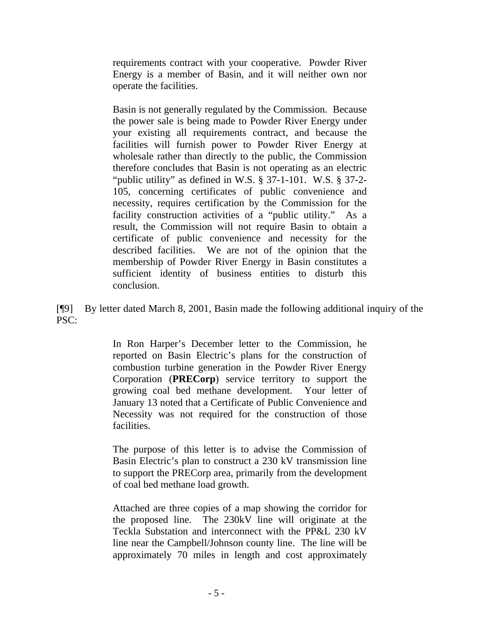requirements contract with your cooperative. Powder River Energy is a member of Basin, and it will neither own nor operate the facilities.

Basin is not generally regulated by the Commission. Because the power sale is being made to Powder River Energy under your existing all requirements contract, and because the facilities will furnish power to Powder River Energy at wholesale rather than directly to the public, the Commission therefore concludes that Basin is not operating as an electric "public utility" as defined in W.S. § 37-1-101. W.S. § 37-2- 105, concerning certificates of public convenience and necessity, requires certification by the Commission for the facility construction activities of a "public utility." As a result, the Commission will not require Basin to obtain a certificate of public convenience and necessity for the described facilities. We are not of the opinion that the membership of Powder River Energy in Basin constitutes a sufficient identity of business entities to disturb this conclusion.

[¶9] By letter dated March 8, 2001, Basin made the following additional inquiry of the PSC:

> In Ron Harper's December letter to the Commission, he reported on Basin Electric's plans for the construction of combustion turbine generation in the Powder River Energy Corporation (**PRECorp**) service territory to support the growing coal bed methane development. Your letter of January 13 noted that a Certificate of Public Convenience and Necessity was not required for the construction of those facilities.

> The purpose of this letter is to advise the Commission of Basin Electric's plan to construct a 230 kV transmission line to support the PRECorp area, primarily from the development of coal bed methane load growth.

> Attached are three copies of a map showing the corridor for the proposed line. The 230kV line will originate at the Teckla Substation and interconnect with the PP&L 230 kV line near the Campbell/Johnson county line. The line will be approximately 70 miles in length and cost approximately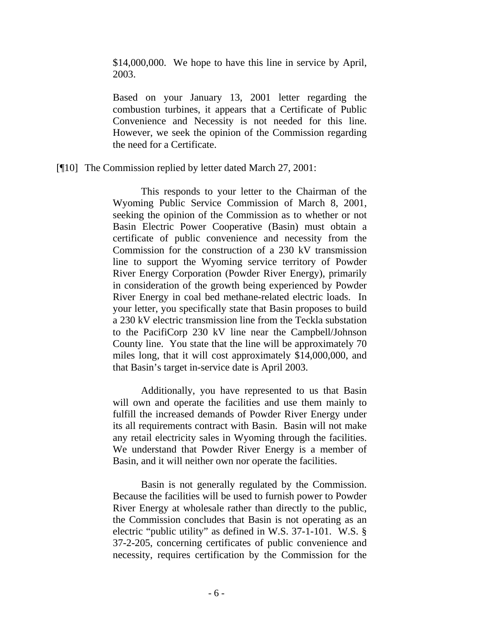\$14,000,000. We hope to have this line in service by April, 2003.

Based on your January 13, 2001 letter regarding the combustion turbines, it appears that a Certificate of Public Convenience and Necessity is not needed for this line. However, we seek the opinion of the Commission regarding the need for a Certificate.

[¶10] The Commission replied by letter dated March 27, 2001:

This responds to your letter to the Chairman of the Wyoming Public Service Commission of March 8, 2001, seeking the opinion of the Commission as to whether or not Basin Electric Power Cooperative (Basin) must obtain a certificate of public convenience and necessity from the Commission for the construction of a 230 kV transmission line to support the Wyoming service territory of Powder River Energy Corporation (Powder River Energy), primarily in consideration of the growth being experienced by Powder River Energy in coal bed methane-related electric loads. In your letter, you specifically state that Basin proposes to build a 230 kV electric transmission line from the Teckla substation to the PacifiCorp 230 kV line near the Campbell/Johnson County line. You state that the line will be approximately 70 miles long, that it will cost approximately \$14,000,000, and that Basin's target in-service date is April 2003.

Additionally, you have represented to us that Basin will own and operate the facilities and use them mainly to fulfill the increased demands of Powder River Energy under its all requirements contract with Basin. Basin will not make any retail electricity sales in Wyoming through the facilities. We understand that Powder River Energy is a member of Basin, and it will neither own nor operate the facilities.

Basin is not generally regulated by the Commission. Because the facilities will be used to furnish power to Powder River Energy at wholesale rather than directly to the public, the Commission concludes that Basin is not operating as an electric "public utility" as defined in W.S. 37-1-101. W.S. § 37-2-205, concerning certificates of public convenience and necessity, requires certification by the Commission for the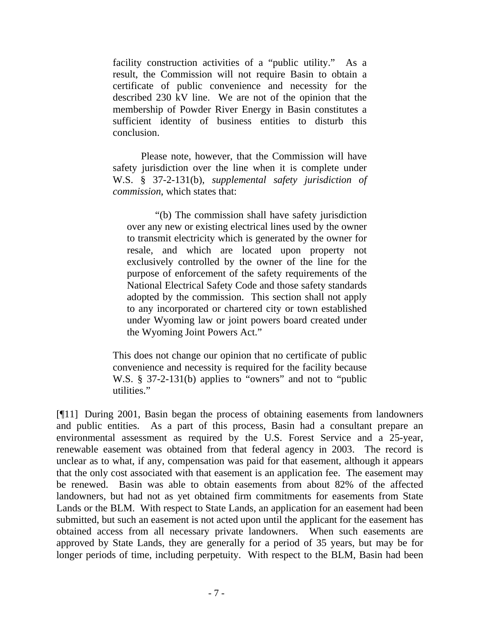facility construction activities of a "public utility." As a result, the Commission will not require Basin to obtain a certificate of public convenience and necessity for the described 230 kV line. We are not of the opinion that the membership of Powder River Energy in Basin constitutes a sufficient identity of business entities to disturb this conclusion.

Please note, however, that the Commission will have safety jurisdiction over the line when it is complete under W.S. § 37-2-131(b), *supplemental safety jurisdiction of commission*, which states that:

"(b) The commission shall have safety jurisdiction over any new or existing electrical lines used by the owner to transmit electricity which is generated by the owner for resale, and which are located upon property not exclusively controlled by the owner of the line for the purpose of enforcement of the safety requirements of the National Electrical Safety Code and those safety standards adopted by the commission. This section shall not apply to any incorporated or chartered city or town established under Wyoming law or joint powers board created under the Wyoming Joint Powers Act."

This does not change our opinion that no certificate of public convenience and necessity is required for the facility because W.S. § 37-2-131(b) applies to "owners" and not to "public utilities."

[¶11] During 2001, Basin began the process of obtaining easements from landowners and public entities. As a part of this process, Basin had a consultant prepare an environmental assessment as required by the U.S. Forest Service and a 25-year, renewable easement was obtained from that federal agency in 2003. The record is unclear as to what, if any, compensation was paid for that easement, although it appears that the only cost associated with that easement is an application fee. The easement may be renewed. Basin was able to obtain easements from about 82% of the affected landowners, but had not as yet obtained firm commitments for easements from State Lands or the BLM. With respect to State Lands, an application for an easement had been submitted, but such an easement is not acted upon until the applicant for the easement has obtained access from all necessary private landowners. When such easements are approved by State Lands, they are generally for a period of 35 years, but may be for longer periods of time, including perpetuity. With respect to the BLM, Basin had been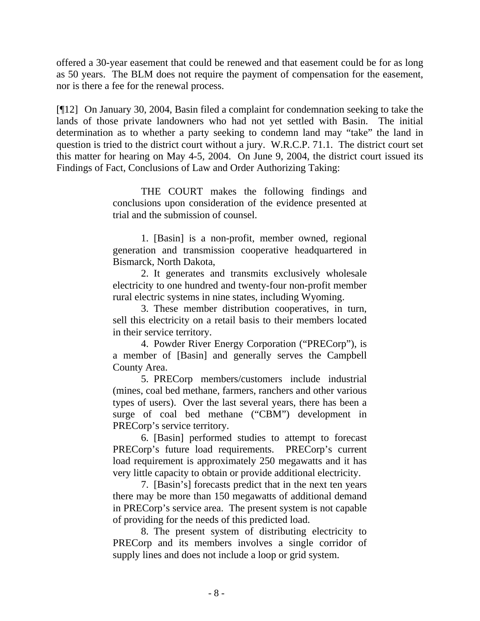offered a 30-year easement that could be renewed and that easement could be for as long as 50 years. The BLM does not require the payment of compensation for the easement, nor is there a fee for the renewal process.

[¶12] On January 30, 2004, Basin filed a complaint for condemnation seeking to take the lands of those private landowners who had not yet settled with Basin. The initial determination as to whether a party seeking to condemn land may "take" the land in question is tried to the district court without a jury. W.R.C.P. 71.1. The district court set this matter for hearing on May 4-5, 2004. On June 9, 2004, the district court issued its Findings of Fact, Conclusions of Law and Order Authorizing Taking:

> THE COURT makes the following findings and conclusions upon consideration of the evidence presented at trial and the submission of counsel.

> 1. [Basin] is a non-profit, member owned, regional generation and transmission cooperative headquartered in Bismarck, North Dakota,

> 2. It generates and transmits exclusively wholesale electricity to one hundred and twenty-four non-profit member rural electric systems in nine states, including Wyoming.

> 3. These member distribution cooperatives, in turn, sell this electricity on a retail basis to their members located in their service territory.

> 4. Powder River Energy Corporation ("PRECorp"), is a member of [Basin] and generally serves the Campbell County Area.

> 5. PRECorp members/customers include industrial (mines, coal bed methane, farmers, ranchers and other various types of users). Over the last several years, there has been a surge of coal bed methane ("CBM") development in PRECorp's service territory.

> 6. [Basin] performed studies to attempt to forecast PRECorp's future load requirements. PRECorp's current load requirement is approximately 250 megawatts and it has very little capacity to obtain or provide additional electricity.

> 7. [Basin's] forecasts predict that in the next ten years there may be more than 150 megawatts of additional demand in PRECorp's service area. The present system is not capable of providing for the needs of this predicted load.

> 8. The present system of distributing electricity to PRECorp and its members involves a single corridor of supply lines and does not include a loop or grid system.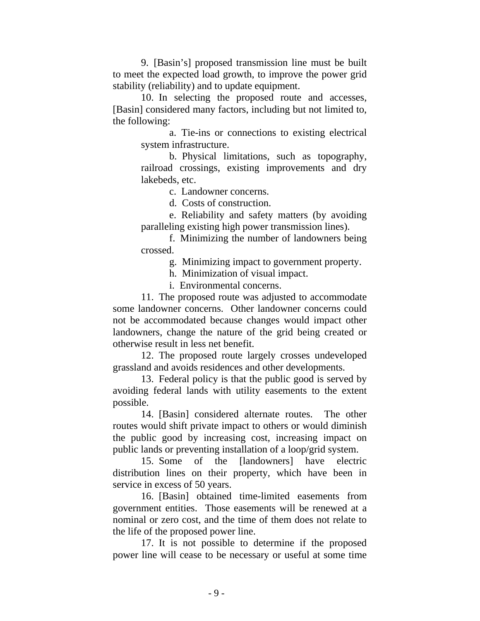9. [Basin's] proposed transmission line must be built to meet the expected load growth, to improve the power grid stability (reliability) and to update equipment.

10. In selecting the proposed route and accesses, [Basin] considered many factors, including but not limited to, the following:

> a. Tie-ins or connections to existing electrical system infrastructure.

> b. Physical limitations, such as topography, railroad crossings, existing improvements and dry lakebeds, etc.

> > c. Landowner concerns.

d. Costs of construction.

e. Reliability and safety matters (by avoiding paralleling existing high power transmission lines).

f. Minimizing the number of landowners being crossed.

g. Minimizing impact to government property.

h. Minimization of visual impact.

i. Environmental concerns.

 11. The proposed route was adjusted to accommodate some landowner concerns. Other landowner concerns could not be accommodated because changes would impact other landowners, change the nature of the grid being created or otherwise result in less net benefit.

 12. The proposed route largely crosses undeveloped grassland and avoids residences and other developments.

13. Federal policy is that the public good is served by avoiding federal lands with utility easements to the extent possible.

14. [Basin] considered alternate routes. The other routes would shift private impact to others or would diminish the public good by increasing cost, increasing impact on public lands or preventing installation of a loop/grid system.

15. Some of the [landowners] have electric distribution lines on their property, which have been in service in excess of 50 years.

16. [Basin] obtained time-limited easements from government entities. Those easements will be renewed at a nominal or zero cost, and the time of them does not relate to the life of the proposed power line.

17. It is not possible to determine if the proposed power line will cease to be necessary or useful at some time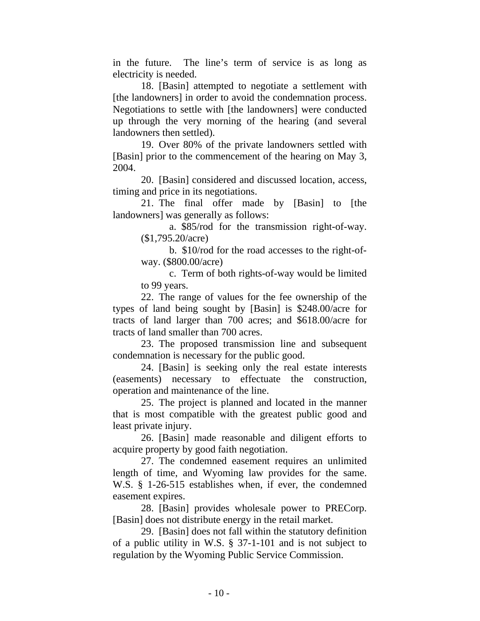in the future. The line's term of service is as long as electricity is needed.

18. [Basin] attempted to negotiate a settlement with [the landowners] in order to avoid the condemnation process. Negotiations to settle with [the landowners] were conducted up through the very morning of the hearing (and several landowners then settled).

19. Over 80% of the private landowners settled with [Basin] prior to the commencement of the hearing on May 3, 2004.

20. [Basin] considered and discussed location, access, timing and price in its negotiations.

21. The final offer made by [Basin] to [the landowners] was generally as follows:

a. \$85/rod for the transmission right-of-way. (\$1,795.20/acre)

b. \$10/rod for the road accesses to the right-ofway. (\$800.00/acre)

c. Term of both rights-of-way would be limited to 99 years.

22. The range of values for the fee ownership of the types of land being sought by [Basin] is \$248.00/acre for tracts of land larger than 700 acres; and \$618.00/acre for tracts of land smaller than 700 acres.

 23. The proposed transmission line and subsequent condemnation is necessary for the public good.

24. [Basin] is seeking only the real estate interests (easements) necessary to effectuate the construction, operation and maintenance of the line.

25. The project is planned and located in the manner that is most compatible with the greatest public good and least private injury.

26. [Basin] made reasonable and diligent efforts to acquire property by good faith negotiation.

27. The condemned easement requires an unlimited length of time, and Wyoming law provides for the same. W.S. § 1-26-515 establishes when, if ever, the condemned easement expires.

28. [Basin] provides wholesale power to PRECorp. [Basin] does not distribute energy in the retail market.

29. [Basin] does not fall within the statutory definition of a public utility in W.S. § 37-1-101 and is not subject to regulation by the Wyoming Public Service Commission.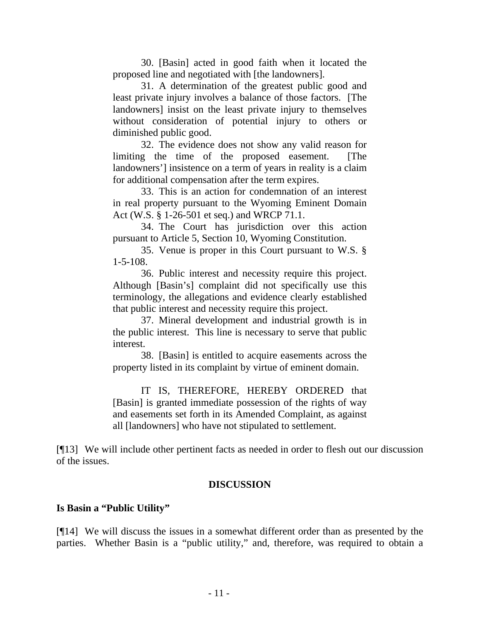30. [Basin] acted in good faith when it located the proposed line and negotiated with [the landowners].

31. A determination of the greatest public good and least private injury involves a balance of those factors. [The landowners] insist on the least private injury to themselves without consideration of potential injury to others or diminished public good.

32. The evidence does not show any valid reason for limiting the time of the proposed easement. [The landowners'] insistence on a term of years in reality is a claim for additional compensation after the term expires.

33. This is an action for condemnation of an interest in real property pursuant to the Wyoming Eminent Domain Act (W.S. § 1-26-501 et seq.) and WRCP 71.1.

34. The Court has jurisdiction over this action pursuant to Article 5, Section 10, Wyoming Constitution.

35. Venue is proper in this Court pursuant to W.S. § 1-5-108.

36. Public interest and necessity require this project. Although [Basin's] complaint did not specifically use this terminology, the allegations and evidence clearly established that public interest and necessity require this project.

37. Mineral development and industrial growth is in the public interest. This line is necessary to serve that public interest.

38. [Basin] is entitled to acquire easements across the property listed in its complaint by virtue of eminent domain.

IT IS, THEREFORE, HEREBY ORDERED that [Basin] is granted immediate possession of the rights of way and easements set forth in its Amended Complaint, as against all [landowners] who have not stipulated to settlement.

[¶13] We will include other pertinent facts as needed in order to flesh out our discussion of the issues.

#### **DISCUSSION**

#### **Is Basin a "Public Utility"**

[¶14] We will discuss the issues in a somewhat different order than as presented by the parties. Whether Basin is a "public utility," and, therefore, was required to obtain a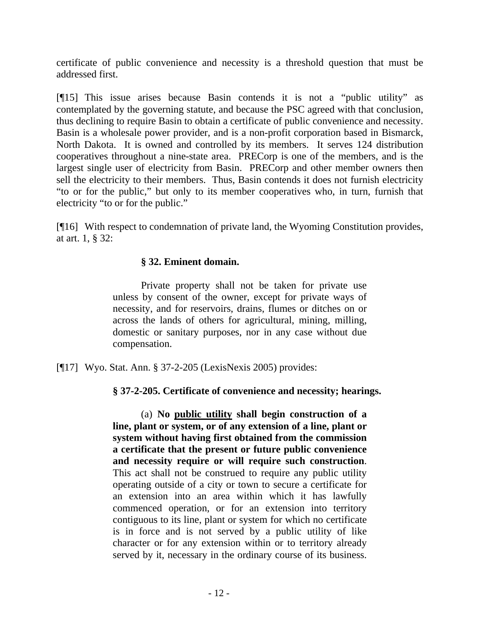certificate of public convenience and necessity is a threshold question that must be addressed first.

[¶15] This issue arises because Basin contends it is not a "public utility" as contemplated by the governing statute, and because the PSC agreed with that conclusion, thus declining to require Basin to obtain a certificate of public convenience and necessity. Basin is a wholesale power provider, and is a non-profit corporation based in Bismarck, North Dakota. It is owned and controlled by its members. It serves 124 distribution cooperatives throughout a nine-state area. PRECorp is one of the members, and is the largest single user of electricity from Basin. PRECorp and other member owners then sell the electricity to their members. Thus, Basin contends it does not furnish electricity "to or for the public," but only to its member cooperatives who, in turn, furnish that electricity "to or for the public."

[¶16] With respect to condemnation of private land, the Wyoming Constitution provides, at art. 1, § 32:

## **§ 32. Eminent domain.**

Private property shall not be taken for private use unless by consent of the owner, except for private ways of necessity, and for reservoirs, drains, flumes or ditches on or across the lands of others for agricultural, mining, milling, domestic or sanitary purposes, nor in any case without due compensation.

[¶17] Wyo. Stat. Ann. § 37-2-205 (LexisNexis 2005) provides:

**§ 37-2-205. Certificate of convenience and necessity; hearings.** 

 (a) **No public utility shall begin construction of a line, plant or system, or of any extension of a line, plant or system without having first obtained from the commission a certificate that the present or future public convenience and necessity require or will require such construction**. This act shall not be construed to require any public utility operating outside of a city or town to secure a certificate for an extension into an area within which it has lawfully commenced operation, or for an extension into territory contiguous to its line, plant or system for which no certificate is in force and is not served by a public utility of like character or for any extension within or to territory already served by it, necessary in the ordinary course of its business.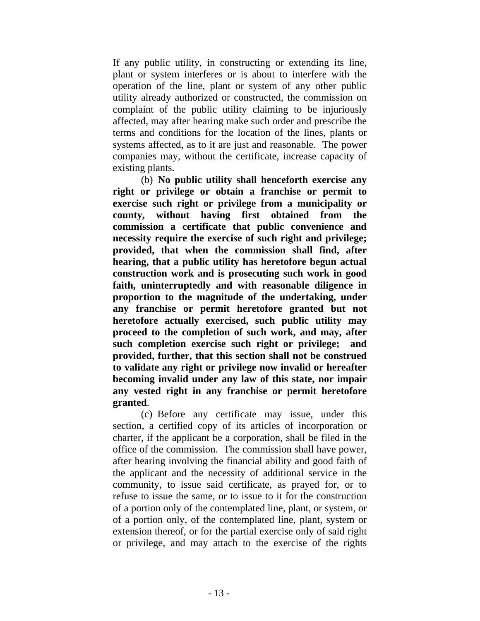If any public utility, in constructing or extending its line, plant or system interferes or is about to interfere with the operation of the line, plant or system of any other public utility already authorized or constructed, the commission on complaint of the public utility claiming to be injuriously affected, may after hearing make such order and prescribe the terms and conditions for the location of the lines, plants or systems affected, as to it are just and reasonable. The power companies may, without the certificate, increase capacity of existing plants.

 (b) **No public utility shall henceforth exercise any right or privilege or obtain a franchise or permit to exercise such right or privilege from a municipality or county, without having first obtained from the commission a certificate that public convenience and necessity require the exercise of such right and privilege; provided, that when the commission shall find, after hearing, that a public utility has heretofore begun actual construction work and is prosecuting such work in good faith, uninterruptedly and with reasonable diligence in proportion to the magnitude of the undertaking, under any franchise or permit heretofore granted but not heretofore actually exercised, such public utility may proceed to the completion of such work, and may, after such completion exercise such right or privilege; and provided, further, that this section shall not be construed to validate any right or privilege now invalid or hereafter becoming invalid under any law of this state, nor impair any vested right in any franchise or permit heretofore granted**.

(c) Before any certificate may issue, under this section, a certified copy of its articles of incorporation or charter, if the applicant be a corporation, shall be filed in the office of the commission. The commission shall have power, after hearing involving the financial ability and good faith of the applicant and the necessity of additional service in the community, to issue said certificate, as prayed for, or to refuse to issue the same, or to issue to it for the construction of a portion only of the contemplated line, plant, or system, or of a portion only, of the contemplated line, plant, system or extension thereof, or for the partial exercise only of said right or privilege, and may attach to the exercise of the rights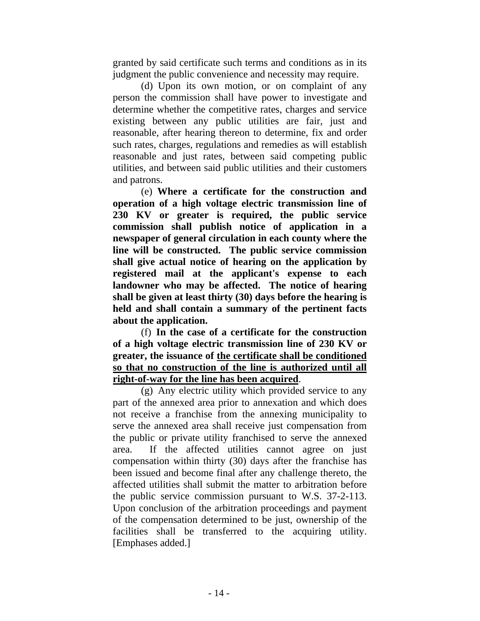granted by said certificate such terms and conditions as in its judgment the public convenience and necessity may require.

(d) Upon its own motion, or on complaint of any person the commission shall have power to investigate and determine whether the competitive rates, charges and service existing between any public utilities are fair, just and reasonable, after hearing thereon to determine, fix and order such rates, charges, regulations and remedies as will establish reasonable and just rates, between said competing public utilities, and between said public utilities and their customers and patrons.

 (e) **Where a certificate for the construction and operation of a high voltage electric transmission line of 230 KV or greater is required, the public service commission shall publish notice of application in a newspaper of general circulation in each county where the line will be constructed. The public service commission shall give actual notice of hearing on the application by registered mail at the applicant's expense to each landowner who may be affected. The notice of hearing shall be given at least thirty (30) days before the hearing is held and shall contain a summary of the pertinent facts about the application.** 

 (f) **In the case of a certificate for the construction of a high voltage electric transmission line of 230 KV or greater, the issuance of the certificate shall be conditioned so that no construction of the line is authorized until all right-of-way for the line has been acquired**.

(g) Any electric utility which provided service to any part of the annexed area prior to annexation and which does not receive a franchise from the annexing municipality to serve the annexed area shall receive just compensation from the public or private utility franchised to serve the annexed area. If the affected utilities cannot agree on just compensation within thirty (30) days after the franchise has been issued and become final after any challenge thereto, the affected utilities shall submit the matter to arbitration before the public service commission pursuant to W.S. 37-2-113. Upon conclusion of the arbitration proceedings and payment of the compensation determined to be just, ownership of the facilities shall be transferred to the acquiring utility. [Emphases added.]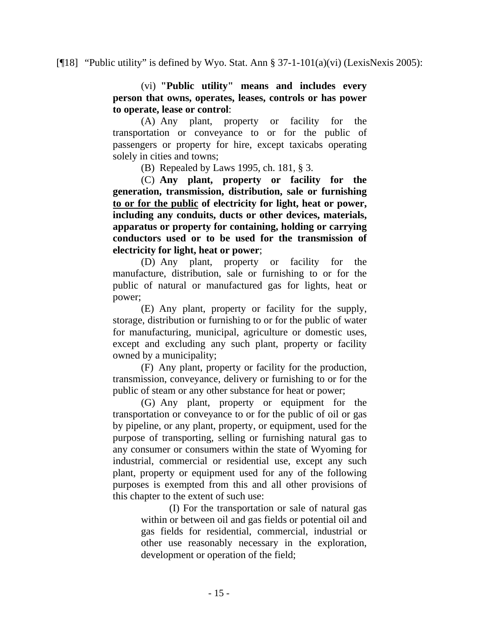#### [ $[18]$  "Public utility" is defined by Wyo. Stat. Ann § 37-1-101(a)(vi) (LexisNexis 2005):

(vi) **"Public utility" means and includes every person that owns, operates, leases, controls or has power to operate, lease or control**:

(A) Any plant, property or facility for the transportation or conveyance to or for the public of passengers or property for hire, except taxicabs operating solely in cities and towns;

(B) Repealed by Laws 1995, ch. 181, § 3.

 (C) **Any plant, property or facility for the generation, transmission, distribution, sale or furnishing to or for the public of electricity for light, heat or power, including any conduits, ducts or other devices, materials, apparatus or property for containing, holding or carrying conductors used or to be used for the transmission of electricity for light, heat or power**;

(D) Any plant, property or facility for the manufacture, distribution, sale or furnishing to or for the public of natural or manufactured gas for lights, heat or power;

(E) Any plant, property or facility for the supply, storage, distribution or furnishing to or for the public of water for manufacturing, municipal, agriculture or domestic uses, except and excluding any such plant, property or facility owned by a municipality;

(F) Any plant, property or facility for the production, transmission, conveyance, delivery or furnishing to or for the public of steam or any other substance for heat or power;

(G) Any plant, property or equipment for the transportation or conveyance to or for the public of oil or gas by pipeline, or any plant, property, or equipment, used for the purpose of transporting, selling or furnishing natural gas to any consumer or consumers within the state of Wyoming for industrial, commercial or residential use, except any such plant, property or equipment used for any of the following purposes is exempted from this and all other provisions of this chapter to the extent of such use:

> (I) For the transportation or sale of natural gas within or between oil and gas fields or potential oil and gas fields for residential, commercial, industrial or other use reasonably necessary in the exploration, development or operation of the field;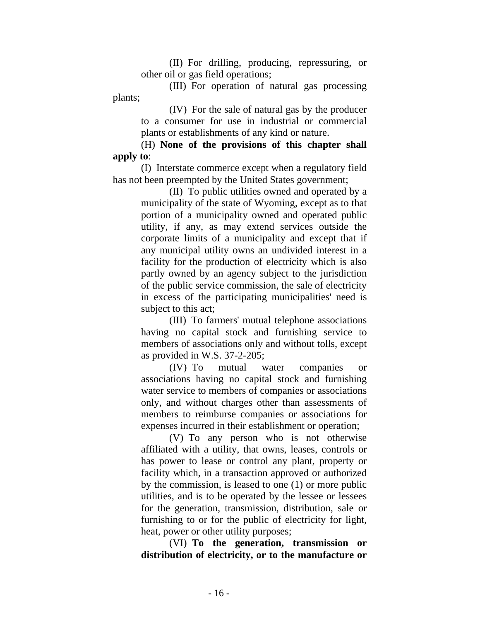(II) For drilling, producing, repressuring, or other oil or gas field operations;

(III) For operation of natural gas processing plants;

> (IV) For the sale of natural gas by the producer to a consumer for use in industrial or commercial plants or establishments of any kind or nature.

 (H) **None of the provisions of this chapter shall apply to**:

(I) Interstate commerce except when a regulatory field has not been preempted by the United States government;

> (II) To public utilities owned and operated by a municipality of the state of Wyoming, except as to that portion of a municipality owned and operated public utility, if any, as may extend services outside the corporate limits of a municipality and except that if any municipal utility owns an undivided interest in a facility for the production of electricity which is also partly owned by an agency subject to the jurisdiction of the public service commission, the sale of electricity in excess of the participating municipalities' need is subject to this act;

> (III) To farmers' mutual telephone associations having no capital stock and furnishing service to members of associations only and without tolls, except as provided in W.S. 37-2-205;

> (IV) To mutual water companies or associations having no capital stock and furnishing water service to members of companies or associations only, and without charges other than assessments of members to reimburse companies or associations for expenses incurred in their establishment or operation;

> (V) To any person who is not otherwise affiliated with a utility, that owns, leases, controls or has power to lease or control any plant, property or facility which, in a transaction approved or authorized by the commission, is leased to one (1) or more public utilities, and is to be operated by the lessee or lessees for the generation, transmission, distribution, sale or furnishing to or for the public of electricity for light, heat, power or other utility purposes;

> (VI) **To the generation, transmission or distribution of electricity, or to the manufacture or**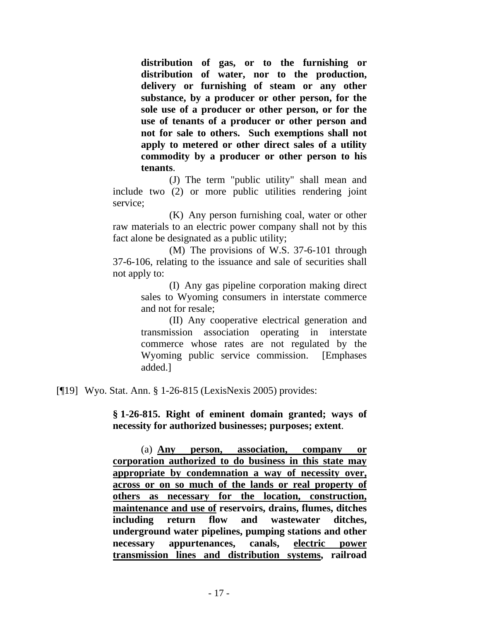**distribution of gas, or to the furnishing or distribution of water, nor to the production, delivery or furnishing of steam or any other substance, by a producer or other person, for the sole use of a producer or other person, or for the use of tenants of a producer or other person and not for sale to others. Such exemptions shall not apply to metered or other direct sales of a utility commodity by a producer or other person to his tenants**.

(J) The term "public utility" shall mean and include two (2) or more public utilities rendering joint service;

(K) Any person furnishing coal, water or other raw materials to an electric power company shall not by this fact alone be designated as a public utility;

 (M) The provisions of W.S. 37-6-101 through 37-6-106, relating to the issuance and sale of securities shall not apply to:

> (I) Any gas pipeline corporation making direct sales to Wyoming consumers in interstate commerce and not for resale;

> (II) Any cooperative electrical generation and transmission association operating in interstate commerce whose rates are not regulated by the Wyoming public service commission. [Emphases added.]

[¶19] Wyo. Stat. Ann. § 1-26-815 (LexisNexis 2005) provides:

**§ 1-26-815. Right of eminent domain granted; ways of necessity for authorized businesses; purposes; extent**.

 (a) **Any person, association, company or corporation authorized to do business in this state may appropriate by condemnation a way of necessity over, across or on so much of the lands or real property of others as necessary for the location, construction, maintenance and use of reservoirs, drains, flumes, ditches including return flow and wastewater ditches, underground water pipelines, pumping stations and other necessary appurtenances, canals, electric power transmission lines and distribution systems, railroad**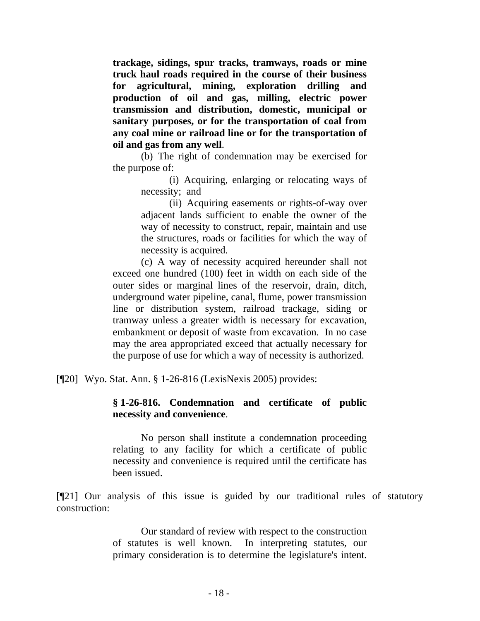**trackage, sidings, spur tracks, tramways, roads or mine truck haul roads required in the course of their business for agricultural, mining, exploration drilling and production of oil and gas, milling, electric power transmission and distribution, domestic, municipal or sanitary purposes, or for the transportation of coal from any coal mine or railroad line or for the transportation of oil and gas from any well**.

(b) The right of condemnation may be exercised for the purpose of:

> (i) Acquiring, enlarging or relocating ways of necessity; and

> (ii) Acquiring easements or rights-of-way over adjacent lands sufficient to enable the owner of the way of necessity to construct, repair, maintain and use the structures, roads or facilities for which the way of necessity is acquired.

(c) A way of necessity acquired hereunder shall not exceed one hundred (100) feet in width on each side of the outer sides or marginal lines of the reservoir, drain, ditch, underground water pipeline, canal, flume, power transmission line or distribution system, railroad trackage, siding or tramway unless a greater width is necessary for excavation, embankment or deposit of waste from excavation. In no case may the area appropriated exceed that actually necessary for the purpose of use for which a way of necessity is authorized.

[¶20] Wyo. Stat. Ann. § 1-26-816 (LexisNexis 2005) provides:

## **§ 1-26-816. Condemnation and certificate of public necessity and convenience**.

No person shall institute a condemnation proceeding relating to any facility for which a certificate of public necessity and convenience is required until the certificate has been issued.

[¶21] Our analysis of this issue is guided by our traditional rules of statutory construction:

> Our standard of review with respect to the construction of statutes is well known. In interpreting statutes, our primary consideration is to determine the legislature's intent.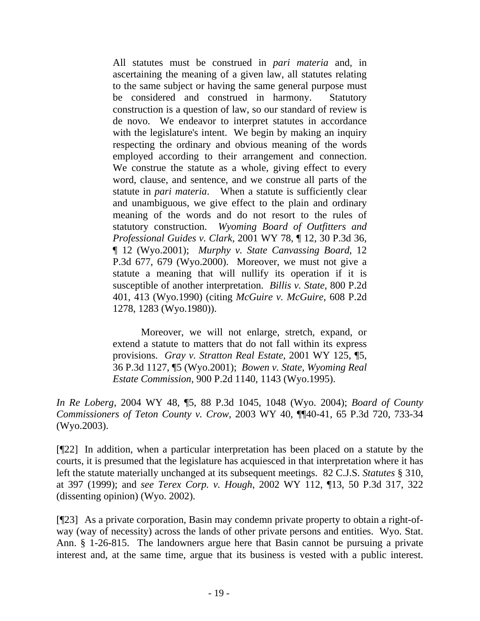All statutes must be construed in *pari materia* and, in ascertaining the meaning of a given law, all statutes relating to the same subject or having the same general purpose must be considered and construed in harmony. Statutory construction is a question of law, so our standard of review is de novo. We endeavor to interpret statutes in accordance with the legislature's intent. We begin by making an inquiry respecting the ordinary and obvious meaning of the words employed according to their arrangement and connection. We construe the statute as a whole, giving effect to every word, clause, and sentence, and we construe all parts of the statute in *pari materia*. When a statute is sufficiently clear and unambiguous, we give effect to the plain and ordinary meaning of the words and do not resort to the rules of statutory construction. *Wyoming Board of Outfitters and Professional Guides v. Clark*, 2001 WY 78, ¶ 12, 30 P.3d 36, ¶ 12 (Wyo.2001); *Murphy v. State Canvassing Board*, 12 P.3d 677, 679 (Wyo.2000). Moreover, we must not give a statute a meaning that will nullify its operation if it is susceptible of another interpretation. *Billis v. State*, 800 P.2d 401, 413 (Wyo.1990) (citing *McGuire v. McGuire*, 608 P.2d 1278, 1283 (Wyo.1980)).

Moreover, we will not enlarge, stretch, expand, or extend a statute to matters that do not fall within its express provisions. *Gray v. Stratton Real Estate*, 2001 WY 125, ¶5, 36 P.3d 1127, ¶5 (Wyo.2001); *Bowen v. State, Wyoming Real Estate Commission*, 900 P.2d 1140, 1143 (Wyo.1995).

*In Re Loberg*, 2004 WY 48, ¶5, 88 P.3d 1045, 1048 (Wyo. 2004); *Board of County Commissioners of Teton County v. Crow*, 2003 WY 40, ¶¶40-41, 65 P.3d 720, 733-34 (Wyo.2003).

[¶22] In addition, when a particular interpretation has been placed on a statute by the courts, it is presumed that the legislature has acquiesced in that interpretation where it has left the statute materially unchanged at its subsequent meetings. 82 C.J.S. *Statutes* § 310, at 397 (1999); and *see Terex Corp. v. Hough*, 2002 WY 112, ¶13, 50 P.3d 317, 322 (dissenting opinion) (Wyo. 2002).

[¶23] As a private corporation, Basin may condemn private property to obtain a right-ofway (way of necessity) across the lands of other private persons and entities. Wyo. Stat. Ann. § 1-26-815. The landowners argue here that Basin cannot be pursuing a private interest and, at the same time, argue that its business is vested with a public interest.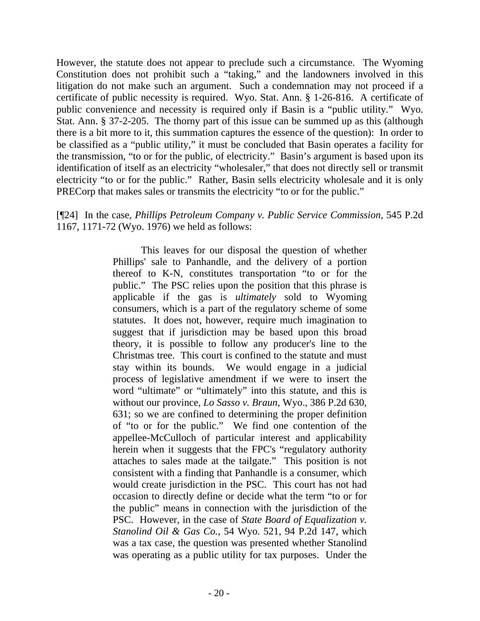However, the statute does not appear to preclude such a circumstance. The Wyoming Constitution does not prohibit such a "taking," and the landowners involved in this litigation do not make such an argument. Such a condemnation may not proceed if a certificate of public necessity is required. Wyo. Stat. Ann. § 1-26-816. A certificate of public convenience and necessity is required only if Basin is a "public utility." Wyo. Stat. Ann. § 37-2-205. The thorny part of this issue can be summed up as this (although there is a bit more to it, this summation captures the essence of the question): In order to be classified as a "public utility," it must be concluded that Basin operates a facility for the transmission, "to or for the public, of electricity." Basin's argument is based upon its identification of itself as an electricity "wholesaler," that does not directly sell or transmit electricity "to or for the public." Rather, Basin sells electricity wholesale and it is only PRECorp that makes sales or transmits the electricity "to or for the public."

[¶24] In the case, *Phillips Petroleum Company v. Public Service Commission*, 545 P.2d 1167, 1171-72 (Wyo. 1976) we held as follows:

> This leaves for our disposal the question of whether Phillips' sale to Panhandle, and the delivery of a portion thereof to K-N, constitutes transportation "to or for the public." The PSC relies upon the position that this phrase is applicable if the gas is *ultimately* sold to Wyoming consumers, which is a part of the regulatory scheme of some statutes. It does not, however, require much imagination to suggest that if jurisdiction may be based upon this broad theory, it is possible to follow any producer's line to the Christmas tree. This court is confined to the statute and must stay within its bounds. We would engage in a judicial process of legislative amendment if we were to insert the word "ultimate" or "ultimately" into this statute, and this is without our province, *Lo Sasso v. Braun*, Wyo., 386 P.2d 630, 631; so we are confined to determining the proper definition of "to or for the public." We find one contention of the appellee-McCulloch of particular interest and applicability herein when it suggests that the FPC's "regulatory authority attaches to sales made at the tailgate." This position is not consistent with a finding that Panhandle is a consumer, which would create jurisdiction in the PSC. This court has not had occasion to directly define or decide what the term "to or for the public" means in connection with the jurisdiction of the PSC. However, in the case of *State Board of Equalization v. Stanolind Oil & Gas Co.*, 54 Wyo. 521, 94 P.2d 147, which was a tax case, the question was presented whether Stanolind was operating as a public utility for tax purposes. Under the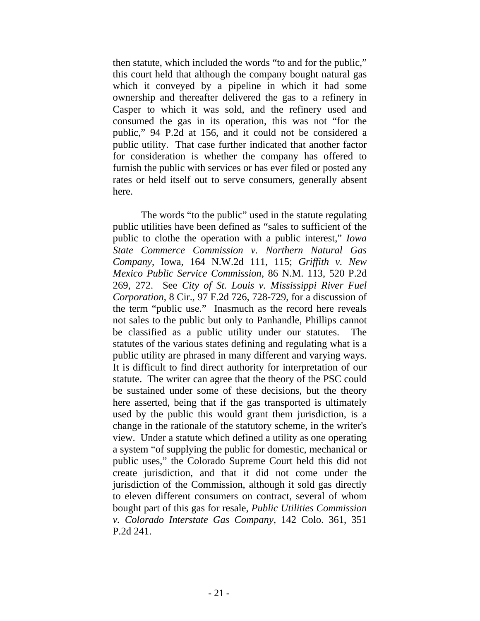then statute, which included the words "to and for the public," this court held that although the company bought natural gas which it conveyed by a pipeline in which it had some ownership and thereafter delivered the gas to a refinery in Casper to which it was sold, and the refinery used and consumed the gas in its operation, this was not "for the public," 94 P.2d at 156, and it could not be considered a public utility. That case further indicated that another factor for consideration is whether the company has offered to furnish the public with services or has ever filed or posted any rates or held itself out to serve consumers, generally absent here.

The words "to the public" used in the statute regulating public utilities have been defined as "sales to sufficient of the public to clothe the operation with a public interest," *Iowa State Commerce Commission v. Northern Natural Gas Company*, Iowa, 164 N.W.2d 111, 115; *Griffith v. New Mexico Public Service Commission*, 86 N.M. 113, 520 P.2d 269, 272. See *City of St. Louis v. Mississippi River Fuel Corporation*, 8 Cir., 97 F.2d 726, 728-729, for a discussion of the term "public use." Inasmuch as the record here reveals not sales to the public but only to Panhandle, Phillips cannot be classified as a public utility under our statutes. The statutes of the various states defining and regulating what is a public utility are phrased in many different and varying ways. It is difficult to find direct authority for interpretation of our statute. The writer can agree that the theory of the PSC could be sustained under some of these decisions, but the theory here asserted, being that if the gas transported is ultimately used by the public this would grant them jurisdiction, is a change in the rationale of the statutory scheme, in the writer's view. Under a statute which defined a utility as one operating a system "of supplying the public for domestic, mechanical or public uses," the Colorado Supreme Court held this did not create jurisdiction, and that it did not come under the jurisdiction of the Commission, although it sold gas directly to eleven different consumers on contract, several of whom bought part of this gas for resale, *Public Utilities Commission v. Colorado Interstate Gas Company*, 142 Colo. 361, 351 P.2d 241.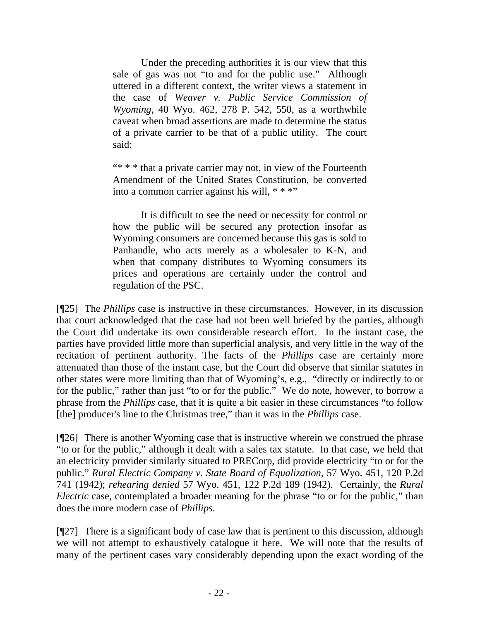Under the preceding authorities it is our view that this sale of gas was not "to and for the public use." Although uttered in a different context, the writer views a statement in the case of *Weaver v. Public Service Commission of Wyoming*, 40 Wyo. 462, 278 P. 542, 550, as a worthwhile caveat when broad assertions are made to determine the status of a private carrier to be that of a public utility. The court said:

"\* \* \* that a private carrier may not, in view of the Fourteenth Amendment of the United States Constitution, be converted into a common carrier against his will, \* \* \*"

It is difficult to see the need or necessity for control or how the public will be secured any protection insofar as Wyoming consumers are concerned because this gas is sold to Panhandle, who acts merely as a wholesaler to K-N, and when that company distributes to Wyoming consumers its prices and operations are certainly under the control and regulation of the PSC.

[¶25] The *Phillips* case is instructive in these circumstances. However, in its discussion that court acknowledged that the case had not been well briefed by the parties, although the Court did undertake its own considerable research effort. In the instant case, the parties have provided little more than superficial analysis, and very little in the way of the recitation of pertinent authority. The facts of the *Phillips* case are certainly more attenuated than those of the instant case, but the Court did observe that similar statutes in other states were more limiting than that of Wyoming's, e.g., "directly or indirectly to or for the public," rather than just "to or for the public." We do note, however, to borrow a phrase from the *Phillips* case, that it is quite a bit easier in these circumstances "to follow [the] producer's line to the Christmas tree," than it was in the *Phillips* case.

[¶26] There is another Wyoming case that is instructive wherein we construed the phrase "to or for the public," although it dealt with a sales tax statute. In that case, we held that an electricity provider similarly situated to PRECorp, did provide electricity "to or for the public." *Rural Electric Company v. State Board of Equalization*, 57 Wyo. 451, 120 P.2d 741 (1942); *rehearing denied* 57 Wyo. 451, 122 P.2d 189 (1942). Certainly, the *Rural Electric* case, contemplated a broader meaning for the phrase "to or for the public," than does the more modern case of *Phillips*.

[¶27] There is a significant body of case law that is pertinent to this discussion, although we will not attempt to exhaustively catalogue it here. We will note that the results of many of the pertinent cases vary considerably depending upon the exact wording of the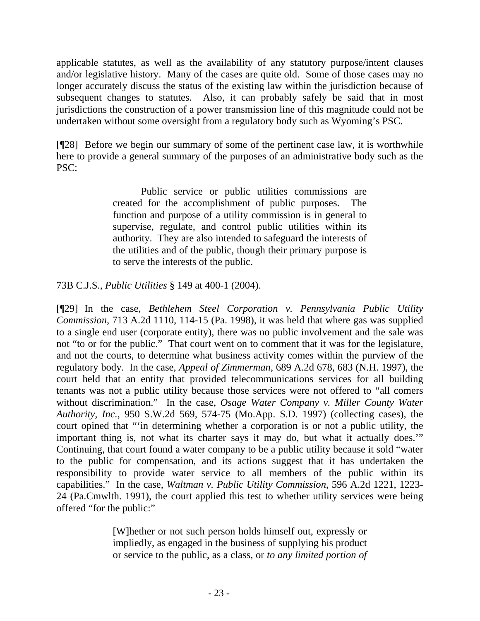applicable statutes, as well as the availability of any statutory purpose/intent clauses and/or legislative history. Many of the cases are quite old. Some of those cases may no longer accurately discuss the status of the existing law within the jurisdiction because of subsequent changes to statutes. Also, it can probably safely be said that in most jurisdictions the construction of a power transmission line of this magnitude could not be undertaken without some oversight from a regulatory body such as Wyoming's PSC.

[¶28] Before we begin our summary of some of the pertinent case law, it is worthwhile here to provide a general summary of the purposes of an administrative body such as the PSC:

> Public service or public utilities commissions are created for the accomplishment of public purposes. The function and purpose of a utility commission is in general to supervise, regulate, and control public utilities within its authority. They are also intended to safeguard the interests of the utilities and of the public, though their primary purpose is to serve the interests of the public.

73B C.J.S., *Public Utilities* § 149 at 400-1 (2004).

[¶29] In the case, *Bethlehem Steel Corporation v. Pennsylvania Public Utility Commission*, 713 A.2d 1110, 114-15 (Pa. 1998), it was held that where gas was supplied to a single end user (corporate entity), there was no public involvement and the sale was not "to or for the public." That court went on to comment that it was for the legislature, and not the courts, to determine what business activity comes within the purview of the regulatory body. In the case, *Appeal of Zimmerman*, 689 A.2d 678, 683 (N.H. 1997), the court held that an entity that provided telecommunications services for all building tenants was not a public utility because those services were not offered to "all comers without discrimination." In the case, *Osage Water Company v. Miller County Water Authority, Inc.*, 950 S.W.2d 569, 574-75 (Mo.App. S.D. 1997) (collecting cases), the court opined that "'in determining whether a corporation is or not a public utility, the important thing is, not what its charter says it may do, but what it actually does.'" Continuing, that court found a water company to be a public utility because it sold "water to the public for compensation, and its actions suggest that it has undertaken the responsibility to provide water service to all members of the public within its capabilities." In the case, *Waltman v. Public Utility Commission*, 596 A.2d 1221, 1223- 24 (Pa.Cmwlth. 1991), the court applied this test to whether utility services were being offered "for the public:"

> [W]hether or not such person holds himself out, expressly or impliedly, as engaged in the business of supplying his product or service to the public, as a class, or *to any limited portion of*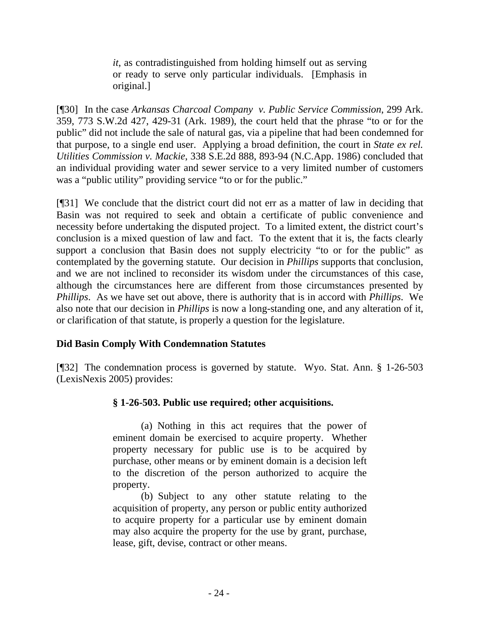*it*, as contradistinguished from holding himself out as serving or ready to serve only particular individuals. [Emphasis in original.]

[¶30] In the case *Arkansas Charcoal Company v. Public Service Commission*, 299 Ark. 359, 773 S.W.2d 427, 429-31 (Ark. 1989), the court held that the phrase "to or for the public" did not include the sale of natural gas, via a pipeline that had been condemned for that purpose, to a single end user. Applying a broad definition, the court in *State ex rel. Utilities Commission v. Mackie*, 338 S.E.2d 888, 893-94 (N.C.App. 1986) concluded that an individual providing water and sewer service to a very limited number of customers was a "public utility" providing service "to or for the public."

[¶31] We conclude that the district court did not err as a matter of law in deciding that Basin was not required to seek and obtain a certificate of public convenience and necessity before undertaking the disputed project. To a limited extent, the district court's conclusion is a mixed question of law and fact. To the extent that it is, the facts clearly support a conclusion that Basin does not supply electricity "to or for the public" as contemplated by the governing statute. Our decision in *Phillips* supports that conclusion, and we are not inclined to reconsider its wisdom under the circumstances of this case, although the circumstances here are different from those circumstances presented by *Phillips*. As we have set out above, there is authority that is in accord with *Phillips*. We also note that our decision in *Phillips* is now a long-standing one, and any alteration of it, or clarification of that statute, is properly a question for the legislature.

## **Did Basin Comply With Condemnation Statutes**

[¶32] The condemnation process is governed by statute. Wyo. Stat. Ann. § 1-26-503 (LexisNexis 2005) provides:

## **§ 1-26-503. Public use required; other acquisitions.**

(a) Nothing in this act requires that the power of eminent domain be exercised to acquire property. Whether property necessary for public use is to be acquired by purchase, other means or by eminent domain is a decision left to the discretion of the person authorized to acquire the property.

(b) Subject to any other statute relating to the acquisition of property, any person or public entity authorized to acquire property for a particular use by eminent domain may also acquire the property for the use by grant, purchase, lease, gift, devise, contract or other means.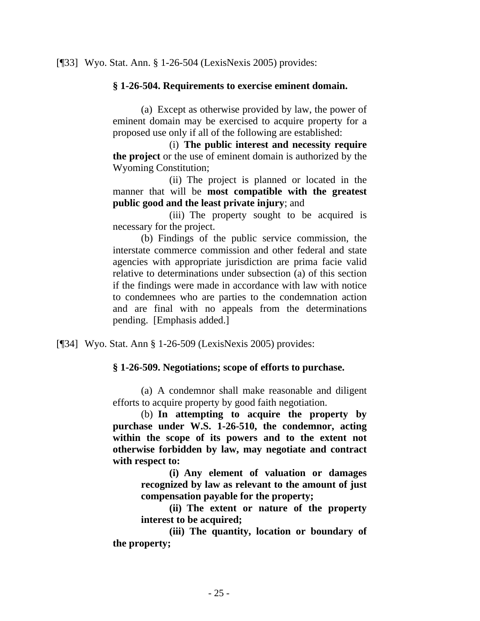#### **§ 1-26-504. Requirements to exercise eminent domain.**

(a) Except as otherwise provided by law, the power of eminent domain may be exercised to acquire property for a proposed use only if all of the following are established:

 (i) **The public interest and necessity require the project** or the use of eminent domain is authorized by the Wyoming Constitution;

(ii) The project is planned or located in the manner that will be **most compatible with the greatest public good and the least private injury**; and

(iii) The property sought to be acquired is necessary for the project.

(b) Findings of the public service commission, the interstate commerce commission and other federal and state agencies with appropriate jurisdiction are prima facie valid relative to determinations under subsection (a) of this section if the findings were made in accordance with law with notice to condemnees who are parties to the condemnation action and are final with no appeals from the determinations pending. [Emphasis added.]

[¶34] Wyo. Stat. Ann § 1-26-509 (LexisNexis 2005) provides:

#### **§ 1-26-509. Negotiations; scope of efforts to purchase.**

(a) A condemnor shall make reasonable and diligent efforts to acquire property by good faith negotiation.

 (b) **In attempting to acquire the property by purchase under W.S. 1-26-510, the condemnor, acting within the scope of its powers and to the extent not otherwise forbidden by law, may negotiate and contract with respect to:** 

> **(i) Any element of valuation or damages recognized by law as relevant to the amount of just compensation payable for the property;**

> **(ii) The extent or nature of the property interest to be acquired;**

 **(iii) The quantity, location or boundary of the property;**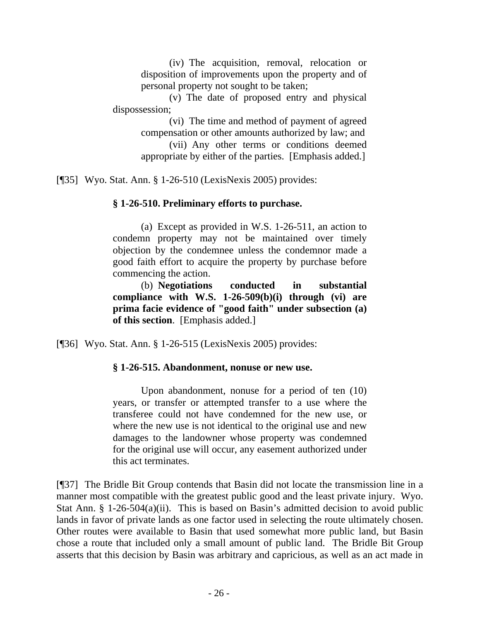(iv) The acquisition, removal, relocation or disposition of improvements upon the property and of personal property not sought to be taken;

(v) The date of proposed entry and physical dispossession;

> (vi) The time and method of payment of agreed compensation or other amounts authorized by law; and (vii) Any other terms or conditions deemed appropriate by either of the parties. [Emphasis added.]

[¶35] Wyo. Stat. Ann. § 1-26-510 (LexisNexis 2005) provides:

## **§ 1-26-510. Preliminary efforts to purchase.**

(a) Except as provided in W.S. 1-26-511, an action to condemn property may not be maintained over timely objection by the condemnee unless the condemnor made a good faith effort to acquire the property by purchase before commencing the action.

 (b) **Negotiations conducted in substantial compliance with W.S. 1-26-509(b)(i) through (vi) are prima facie evidence of "good faith" under subsection (a) of this section**. [Emphasis added.]

[¶36] Wyo. Stat. Ann. § 1-26-515 (LexisNexis 2005) provides:

#### **§ 1-26-515. Abandonment, nonuse or new use.**

Upon abandonment, nonuse for a period of ten (10) years, or transfer or attempted transfer to a use where the transferee could not have condemned for the new use, or where the new use is not identical to the original use and new damages to the landowner whose property was condemned for the original use will occur, any easement authorized under this act terminates.

[¶37] The Bridle Bit Group contends that Basin did not locate the transmission line in a manner most compatible with the greatest public good and the least private injury. Wyo. Stat Ann. § 1-26-504(a)(ii). This is based on Basin's admitted decision to avoid public lands in favor of private lands as one factor used in selecting the route ultimately chosen. Other routes were available to Basin that used somewhat more public land, but Basin chose a route that included only a small amount of public land. The Bridle Bit Group asserts that this decision by Basin was arbitrary and capricious, as well as an act made in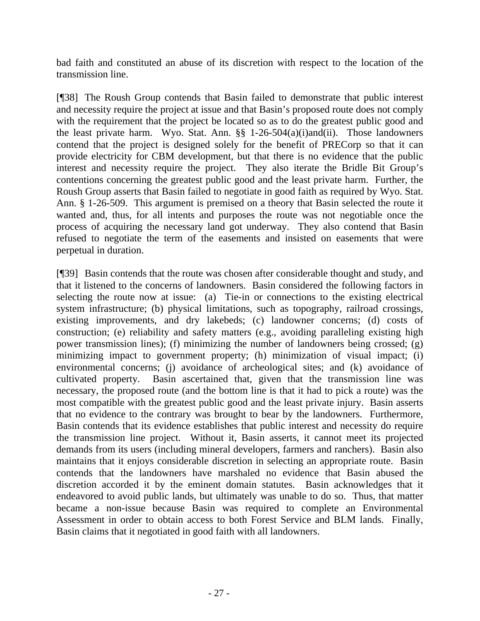bad faith and constituted an abuse of its discretion with respect to the location of the transmission line.

[¶38] The Roush Group contends that Basin failed to demonstrate that public interest and necessity require the project at issue and that Basin's proposed route does not comply with the requirement that the project be located so as to do the greatest public good and the least private harm. Wyo. Stat. Ann. §§ 1-26-504(a)(i)and(ii). Those landowners contend that the project is designed solely for the benefit of PRECorp so that it can provide electricity for CBM development, but that there is no evidence that the public interest and necessity require the project. They also iterate the Bridle Bit Group's contentions concerning the greatest public good and the least private harm. Further, the Roush Group asserts that Basin failed to negotiate in good faith as required by Wyo. Stat. Ann. § 1-26-509. This argument is premised on a theory that Basin selected the route it wanted and, thus, for all intents and purposes the route was not negotiable once the process of acquiring the necessary land got underway. They also contend that Basin refused to negotiate the term of the easements and insisted on easements that were perpetual in duration.

[¶39] Basin contends that the route was chosen after considerable thought and study, and that it listened to the concerns of landowners. Basin considered the following factors in selecting the route now at issue: (a) Tie-in or connections to the existing electrical system infrastructure; (b) physical limitations, such as topography, railroad crossings, existing improvements, and dry lakebeds; (c) landowner concerns; (d) costs of construction; (e) reliability and safety matters (e.g., avoiding paralleling existing high power transmission lines); (f) minimizing the number of landowners being crossed; (g) minimizing impact to government property; (h) minimization of visual impact; (i) environmental concerns; (i) avoidance of archeological sites; and (k) avoidance of cultivated property. Basin ascertained that, given that the transmission line was necessary, the proposed route (and the bottom line is that it had to pick a route) was the most compatible with the greatest public good and the least private injury. Basin asserts that no evidence to the contrary was brought to bear by the landowners. Furthermore, Basin contends that its evidence establishes that public interest and necessity do require the transmission line project. Without it, Basin asserts, it cannot meet its projected demands from its users (including mineral developers, farmers and ranchers). Basin also maintains that it enjoys considerable discretion in selecting an appropriate route. Basin contends that the landowners have marshaled no evidence that Basin abused the discretion accorded it by the eminent domain statutes. Basin acknowledges that it endeavored to avoid public lands, but ultimately was unable to do so. Thus, that matter became a non-issue because Basin was required to complete an Environmental Assessment in order to obtain access to both Forest Service and BLM lands. Finally, Basin claims that it negotiated in good faith with all landowners.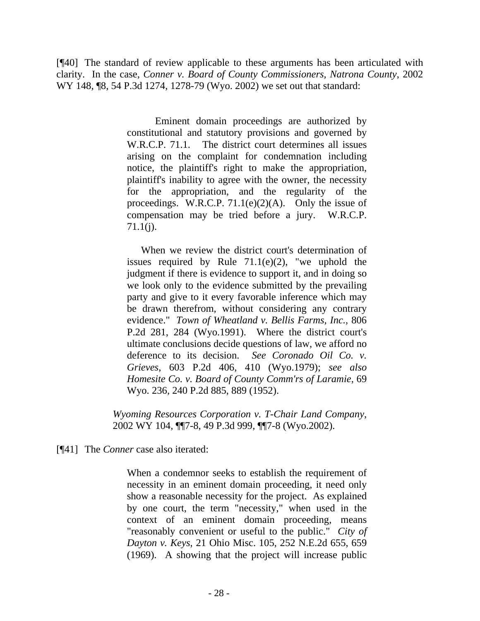[¶40] The standard of review applicable to these arguments has been articulated with clarity. In the case, *Conner v. Board of County Commissioners, Natrona County*, 2002 WY 148, ¶8, 54 P.3d 1274, 1278-79 (Wyo. 2002) we set out that standard:

> Eminent domain proceedings are authorized by constitutional and statutory provisions and governed by W.R.C.P. 71.1. The district court determines all issues arising on the complaint for condemnation including notice, the plaintiff's right to make the appropriation, plaintiff's inability to agree with the owner, the necessity for the appropriation, and the regularity of the proceedings. W.R.C.P.  $71.1(e)(2)(A)$ . Only the issue of compensation may be tried before a jury. W.R.C.P. 71.1(j).

> When we review the district court's determination of issues required by Rule  $71.1(e)(2)$ , "we uphold the judgment if there is evidence to support it, and in doing so we look only to the evidence submitted by the prevailing party and give to it every favorable inference which may be drawn therefrom, without considering any contrary evidence." *Town of Wheatland v. Bellis Farms, Inc.*, 806 P.2d 281, 284 (Wyo.1991). Where the district court's ultimate conclusions decide questions of law, we afford no deference to its decision. *See Coronado Oil Co. v. Grieves*, 603 P.2d 406, 410 (Wyo.1979); *see also Homesite Co. v. Board of County Comm'rs of Laramie*, 69 Wyo. 236, 240 P.2d 885, 889 (1952).

*Wyoming Resources Corporation v. T-Chair Land Company*, 2002 WY 104, ¶¶7-8, 49 P.3d 999, ¶¶7-8 (Wyo.2002).

[¶41] The *Conner* case also iterated:

When a condemnor seeks to establish the requirement of necessity in an eminent domain proceeding, it need only show a reasonable necessity for the project. As explained by one court, the term "necessity," when used in the context of an eminent domain proceeding, means "reasonably convenient or useful to the public." *City of Dayton v. Keys*, 21 Ohio Misc. 105, 252 N.E.2d 655, 659 (1969). A showing that the project will increase public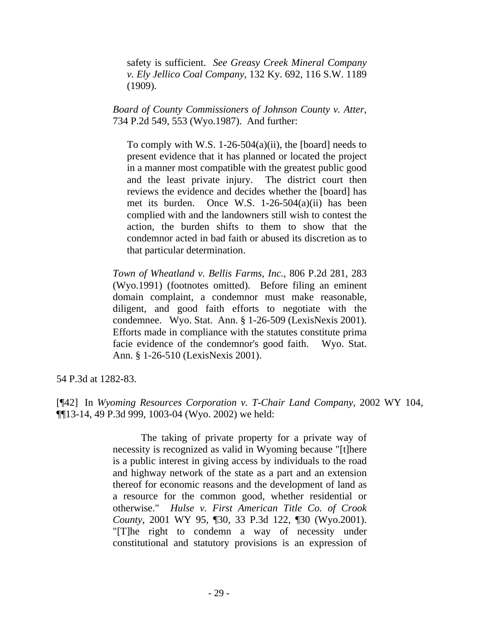safety is sufficient. *See Greasy Creek Mineral Company v. Ely Jellico Coal Company*, 132 Ky. 692, 116 S.W. 1189 (1909).

*Board of County Commissioners of Johnson County v. Atter*, 734 P.2d 549, 553 (Wyo.1987). And further:

To comply with W.S. 1-26-504(a)(ii), the [board] needs to present evidence that it has planned or located the project in a manner most compatible with the greatest public good and the least private injury. The district court then reviews the evidence and decides whether the [board] has met its burden. Once W.S. 1-26-504(a)(ii) has been complied with and the landowners still wish to contest the action, the burden shifts to them to show that the condemnor acted in bad faith or abused its discretion as to that particular determination.

*Town of Wheatland v. Bellis Farms, Inc.*, 806 P.2d 281, 283 (Wyo.1991) (footnotes omitted). Before filing an eminent domain complaint, a condemnor must make reasonable, diligent, and good faith efforts to negotiate with the condemnee. Wyo. Stat. Ann. § 1-26-509 (LexisNexis 2001). Efforts made in compliance with the statutes constitute prima facie evidence of the condemnor's good faith. Wyo. Stat. Ann. § 1-26-510 (LexisNexis 2001).

54 P.3d at 1282-83.

[¶42] In *Wyoming Resources Corporation v. T-Chair Land Company*, 2002 WY 104, ¶¶13-14, 49 P.3d 999, 1003-04 (Wyo. 2002) we held:

> The taking of private property for a private way of necessity is recognized as valid in Wyoming because "[t]here is a public interest in giving access by individuals to the road and highway network of the state as a part and an extension thereof for economic reasons and the development of land as a resource for the common good, whether residential or otherwise." *Hulse v. First American Title Co. of Crook County*, 2001 WY 95, ¶30, 33 P.3d 122, ¶30 (Wyo.2001). "[T]he right to condemn a way of necessity under constitutional and statutory provisions is an expression of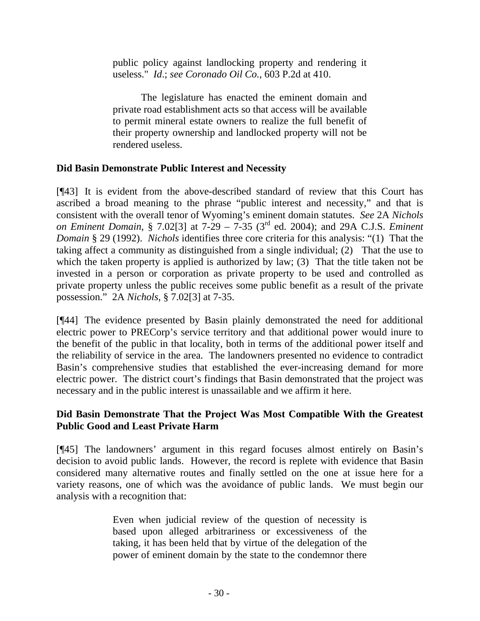public policy against landlocking property and rendering it useless." *Id*.; *see Coronado Oil Co.*, 603 P.2d at 410.

The legislature has enacted the eminent domain and private road establishment acts so that access will be available to permit mineral estate owners to realize the full benefit of their property ownership and landlocked property will not be rendered useless.

## **Did Basin Demonstrate Public Interest and Necessity**

[¶43] It is evident from the above-described standard of review that this Court has ascribed a broad meaning to the phrase "public interest and necessity," and that is consistent with the overall tenor of Wyoming's eminent domain statutes. *See* 2A *Nichols on Eminent Domain*, § 7.02[3] at 7-29 – 7-35 (3rd ed. 2004); and 29A C.J.S. *Eminent Domain* § 29 (1992). *Nichols* identifies three core criteria for this analysis: "(1) That the taking affect a community as distinguished from a single individual; (2) That the use to which the taken property is applied is authorized by law; (3) That the title taken not be invested in a person or corporation as private property to be used and controlled as private property unless the public receives some public benefit as a result of the private possession." 2A *Nichols*, § 7.02[3] at 7-35.

[¶44] The evidence presented by Basin plainly demonstrated the need for additional electric power to PRECorp's service territory and that additional power would inure to the benefit of the public in that locality, both in terms of the additional power itself and the reliability of service in the area. The landowners presented no evidence to contradict Basin's comprehensive studies that established the ever-increasing demand for more electric power. The district court's findings that Basin demonstrated that the project was necessary and in the public interest is unassailable and we affirm it here.

## **Did Basin Demonstrate That the Project Was Most Compatible With the Greatest Public Good and Least Private Harm**

[¶45] The landowners' argument in this regard focuses almost entirely on Basin's decision to avoid public lands. However, the record is replete with evidence that Basin considered many alternative routes and finally settled on the one at issue here for a variety reasons, one of which was the avoidance of public lands. We must begin our analysis with a recognition that:

> Even when judicial review of the question of necessity is based upon alleged arbitrariness or excessiveness of the taking, it has been held that by virtue of the delegation of the power of eminent domain by the state to the condemnor there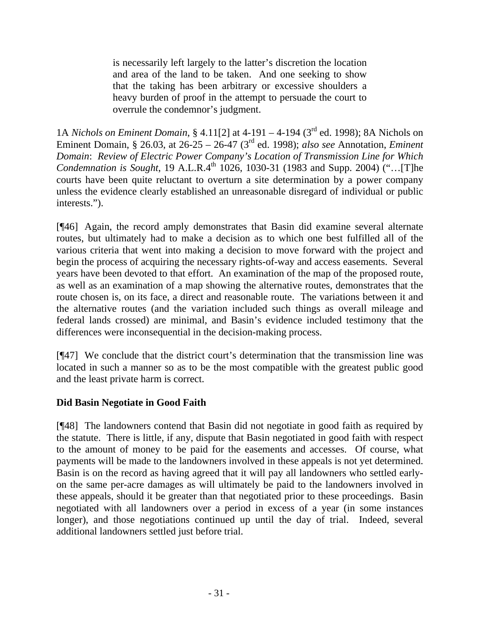is necessarily left largely to the latter's discretion the location and area of the land to be taken. And one seeking to show that the taking has been arbitrary or excessive shoulders a heavy burden of proof in the attempt to persuade the court to overrule the condemnor's judgment.

1A *Nichols on Eminent Domain*, § 4.11[2] at 4-191 – 4-194 (3rd ed. 1998); 8A Nichols on Eminent Domain, § 26.03, at 26-25 – 26-47 (3rd ed. 1998); *also see* Annotation, *Eminent Domain*: *Review of Electric Power Company's Location of Transmission Line for Which Condemnation is Sought*, 19 A.L.R.4<sup>th</sup> 1026, 1030-31 (1983 and Supp. 2004) ("...[T]he courts have been quite reluctant to overturn a site determination by a power company unless the evidence clearly established an unreasonable disregard of individual or public interests.").

[¶46] Again, the record amply demonstrates that Basin did examine several alternate routes, but ultimately had to make a decision as to which one best fulfilled all of the various criteria that went into making a decision to move forward with the project and begin the process of acquiring the necessary rights-of-way and access easements. Several years have been devoted to that effort. An examination of the map of the proposed route, as well as an examination of a map showing the alternative routes, demonstrates that the route chosen is, on its face, a direct and reasonable route. The variations between it and the alternative routes (and the variation included such things as overall mileage and federal lands crossed) are minimal, and Basin's evidence included testimony that the differences were inconsequential in the decision-making process.

[¶47] We conclude that the district court's determination that the transmission line was located in such a manner so as to be the most compatible with the greatest public good and the least private harm is correct.

## **Did Basin Negotiate in Good Faith**

[¶48] The landowners contend that Basin did not negotiate in good faith as required by the statute. There is little, if any, dispute that Basin negotiated in good faith with respect to the amount of money to be paid for the easements and accesses. Of course, what payments will be made to the landowners involved in these appeals is not yet determined. Basin is on the record as having agreed that it will pay all landowners who settled earlyon the same per-acre damages as will ultimately be paid to the landowners involved in these appeals, should it be greater than that negotiated prior to these proceedings. Basin negotiated with all landowners over a period in excess of a year (in some instances longer), and those negotiations continued up until the day of trial. Indeed, several additional landowners settled just before trial.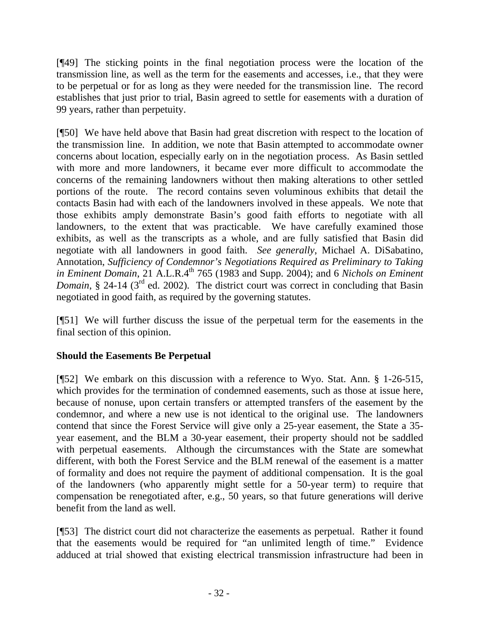[¶49] The sticking points in the final negotiation process were the location of the transmission line, as well as the term for the easements and accesses, i.e., that they were to be perpetual or for as long as they were needed for the transmission line. The record establishes that just prior to trial, Basin agreed to settle for easements with a duration of 99 years, rather than perpetuity.

[¶50] We have held above that Basin had great discretion with respect to the location of the transmission line. In addition, we note that Basin attempted to accommodate owner concerns about location, especially early on in the negotiation process. As Basin settled with more and more landowners, it became ever more difficult to accommodate the concerns of the remaining landowners without then making alterations to other settled portions of the route. The record contains seven voluminous exhibits that detail the contacts Basin had with each of the landowners involved in these appeals. We note that those exhibits amply demonstrate Basin's good faith efforts to negotiate with all landowners, to the extent that was practicable. We have carefully examined those exhibits, as well as the transcripts as a whole, and are fully satisfied that Basin did negotiate with all landowners in good faith. *See generally*, Michael A. DiSabatino, Annotation, *Sufficiency of Condemnor's Negotiations Required as Preliminary to Taking in Eminent Domain*, 21 A.L.R.4<sup>th</sup> 765 (1983 and Supp. 2004); and 6 *Nichols on Eminent Domain*, § 24-14 (3<sup>rd</sup> ed. 2002). The district court was correct in concluding that Basin negotiated in good faith, as required by the governing statutes.

[¶51] We will further discuss the issue of the perpetual term for the easements in the final section of this opinion.

## **Should the Easements Be Perpetual**

[¶52] We embark on this discussion with a reference to Wyo. Stat. Ann. § 1-26-515, which provides for the termination of condemned easements, such as those at issue here, because of nonuse, upon certain transfers or attempted transfers of the easement by the condemnor, and where a new use is not identical to the original use. The landowners contend that since the Forest Service will give only a 25-year easement, the State a 35 year easement, and the BLM a 30-year easement, their property should not be saddled with perpetual easements. Although the circumstances with the State are somewhat different, with both the Forest Service and the BLM renewal of the easement is a matter of formality and does not require the payment of additional compensation. It is the goal of the landowners (who apparently might settle for a 50-year term) to require that compensation be renegotiated after, e.g., 50 years, so that future generations will derive benefit from the land as well.

[¶53] The district court did not characterize the easements as perpetual. Rather it found that the easements would be required for "an unlimited length of time." Evidence adduced at trial showed that existing electrical transmission infrastructure had been in